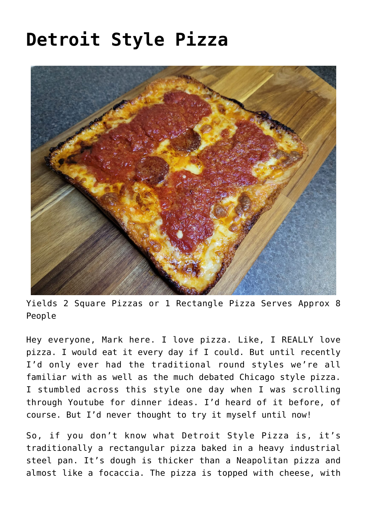# **[Detroit Style Pizza](https://effortless-kitchen.com/2022/03/19/detroit-style-pizza/)**



Yields 2 Square Pizzas or 1 Rectangle Pizza Serves Approx 8 People

Hey everyone, Mark here. I love pizza. Like, I REALLY love pizza. I would eat it every day if I could. But until recently I'd only ever had the traditional round styles we're all familiar with as well as the much debated [Chicago style pizza.](https://effortless-kitchen.com/2020/04/21/chicago-style-deep-dish-pizza/) I stumbled across this style one day when I was scrolling through Youtube for dinner ideas. I'd heard of it before, of course. But I'd never thought to try it myself until now!

So, if you don't know what Detroit Style Pizza is, it's traditionally a rectangular pizza baked in a [heavy industrial](https://www.amazon.com.au/LloydPans-Kitchenware-Hard-Anodized-Detroit-Style/dp/B01FY5UFCI/ref=sr_1_5?crid=2UZIABB80UPOI&keywords=detroit+pizza+pan&qid=1647672126&sprefix=detroit%2Caps%2C294&sr=8-5) [steel pan.](https://www.amazon.com.au/LloydPans-Kitchenware-Hard-Anodized-Detroit-Style/dp/B01FY5UFCI/ref=sr_1_5?crid=2UZIABB80UPOI&keywords=detroit+pizza+pan&qid=1647672126&sprefix=detroit%2Caps%2C294&sr=8-5) It's dough is thicker than a Neapolitan pizza and almost like a focaccia. The pizza is topped with cheese, with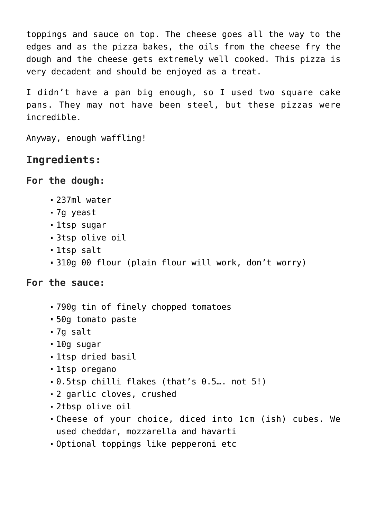toppings and sauce on top. The cheese goes all the way to the edges and as the pizza bakes, the oils from the cheese fry the dough and the cheese gets extremely well cooked. This pizza is very decadent and should be enjoyed as a treat.

I didn't have a pan big enough, so I used two square cake pans. They may not have been steel, but these pizzas were incredible.

Anyway, enough waffling!

# **Ingredients:**

### **For the dough:**

- 237ml water
- 7g yeast
- 1tsp sugar
- 3tsp olive oil
- 1tsp salt
- 310g 00 flour (plain flour will work, don't worry)

#### **For the sauce:**

- 790g tin of finely chopped tomatoes
- 50g tomato paste
- 7g salt
- 10g sugar
- 1tsp dried basil
- 1tsp oregano
- 0.5tsp chilli flakes (that's 0.5…. not 5!)
- 2 garlic cloves, crushed
- 2tbsp olive oil
- Cheese of your choice, diced into 1cm (ish) cubes. We used cheddar, mozzarella and havarti
- Optional toppings like pepperoni etc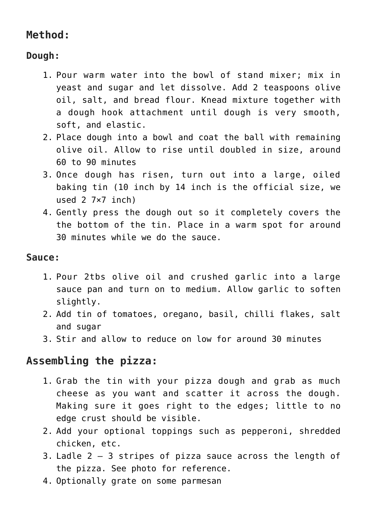# **Method:**

# **Dough:**

- 1. Pour warm water into the bowl of stand mixer; mix in yeast and sugar and let dissolve. Add 2 teaspoons olive oil, salt, and bread flour. Knead mixture together with a dough hook attachment until dough is very smooth, soft, and elastic.
- 2. Place dough into a bowl and coat the ball with remaining olive oil. Allow to rise until doubled in size, around 60 to 90 minutes
- 3. Once dough has risen, turn out into a large, oiled baking tin (10 inch by 14 inch is the official size, we used 2 7×7 inch)
- 4. Gently press the dough out so it completely covers the the bottom of the tin. Place in a warm spot for around 30 minutes while we do the sauce.

#### **Sauce:**

- 1. Pour 2tbs olive oil and crushed garlic into a large sauce pan and turn on to medium. Allow garlic to soften slightly.
- 2. Add tin of tomatoes, oregano, basil, chilli flakes, salt and sugar
- 3. Stir and allow to reduce on low for around 30 minutes

## **Assembling the pizza:**

- 1. Grab the tin with your pizza dough and grab as much cheese as you want and scatter it across the dough. Making sure it goes right to the edges; little to no edge crust should be visible.
- 2. Add your optional toppings such as pepperoni, shredded chicken, etc.
- 3. Ladle 2 3 stripes of pizza sauce across the length of the pizza. See photo for reference.
- 4. Optionally grate on some parmesan